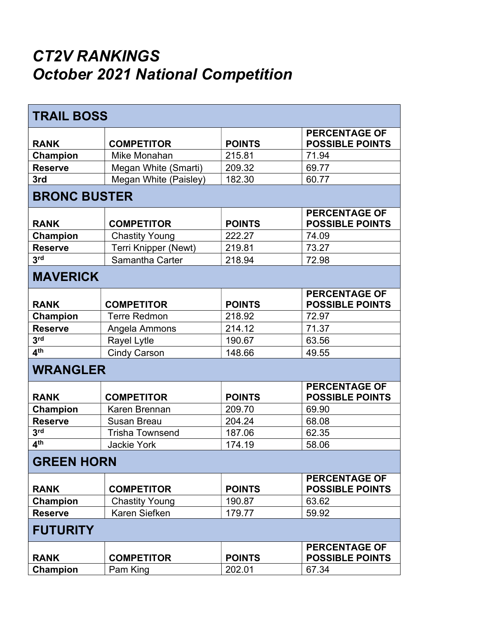## CT2V RANKINGS October 2021 National Competition

| <b>TRAIL BOSS</b>   |                        |               |                                                |  |
|---------------------|------------------------|---------------|------------------------------------------------|--|
| <b>RANK</b>         | <b>COMPETITOR</b>      | <b>POINTS</b> | <b>PERCENTAGE OF</b><br><b>POSSIBLE POINTS</b> |  |
| Champion            | Mike Monahan           | 215.81        | 71.94                                          |  |
| <b>Reserve</b>      | Megan White (Smarti)   | 209.32        | 69.77                                          |  |
| 3rd                 | Megan White (Paisley)  | 182.30        | 60.77                                          |  |
| <b>BRONC BUSTER</b> |                        |               |                                                |  |
| <b>RANK</b>         | <b>COMPETITOR</b>      | <b>POINTS</b> | <b>PERCENTAGE OF</b><br><b>POSSIBLE POINTS</b> |  |
| Champion            | <b>Chastity Young</b>  | 222.27        | 74.09                                          |  |
| <b>Reserve</b>      | Terri Knipper (Newt)   | 219.81        | 73.27                                          |  |
| 3 <sup>rd</sup>     | Samantha Carter        | 218.94        | 72.98                                          |  |
| <b>MAVERICK</b>     |                        |               |                                                |  |
| <b>RANK</b>         | <b>COMPETITOR</b>      | <b>POINTS</b> | <b>PERCENTAGE OF</b><br><b>POSSIBLE POINTS</b> |  |
| Champion            | <b>Terre Redmon</b>    | 218.92        | 72.97                                          |  |
| <b>Reserve</b>      | Angela Ammons          | 214.12        | 71.37                                          |  |
| 3 <sup>rd</sup>     | <b>Rayel Lytle</b>     | 190.67        | 63.56                                          |  |
| 4 <sup>th</sup>     | <b>Cindy Carson</b>    | 148.66        | 49.55                                          |  |
| <b>WRANGLER</b>     |                        |               |                                                |  |
| <b>RANK</b>         | <b>COMPETITOR</b>      | <b>POINTS</b> | <b>PERCENTAGE OF</b><br><b>POSSIBLE POINTS</b> |  |
| Champion            | Karen Brennan          | 209.70        | 69.90                                          |  |
| <b>Reserve</b>      | <b>Susan Breau</b>     | 204.24        | 68.08                                          |  |
| 3 <sup>rd</sup>     | <b>Trisha Townsend</b> | 187.06        | 62.35                                          |  |
| 4 <sup>th</sup>     | <b>Jackie York</b>     | 174.19        | 58.06                                          |  |
| <b>GREEN HORN</b>   |                        |               |                                                |  |
| <b>RANK</b>         | <b>COMPETITOR</b>      | <b>POINTS</b> | <b>PERCENTAGE OF</b><br><b>POSSIBLE POINTS</b> |  |
| Champion            | <b>Chastity Young</b>  | 190.87        | 63.62                                          |  |
| <b>Reserve</b>      | Karen Siefken          | 179.77        | 59.92                                          |  |
| <b>FUTURITY</b>     |                        |               |                                                |  |
| <b>RANK</b>         | <b>COMPETITOR</b>      | <b>POINTS</b> | <b>PERCENTAGE OF</b><br><b>POSSIBLE POINTS</b> |  |
| Champion            | Pam King               | 202.01        | 67.34                                          |  |